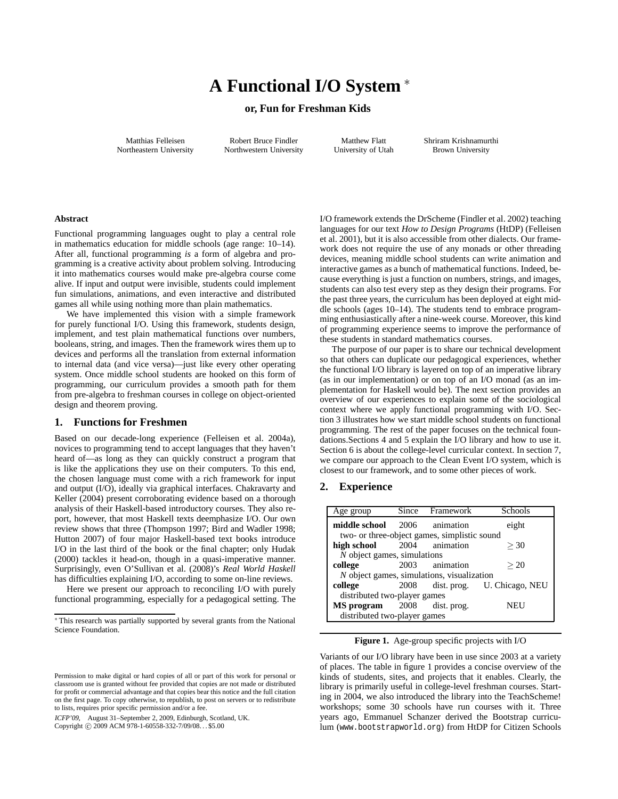# **A Functional I/O System** <sup>∗</sup>

**or, Fun for Freshman Kids**

Matthias Felleisen Northeastern University

Robert Bruce Findler Northwestern University

Matthew Flatt University of Utah Shriram Krishnamurthi Brown University

#### **Abstract**

Functional programming languages ought to play a central role in mathematics education for middle schools (age range: 10–14). After all, functional programming *is* a form of algebra and programming is a creative activity about problem solving. Introducing it into mathematics courses would make pre-algebra course come alive. If input and output were invisible, students could implement fun simulations, animations, and even interactive and distributed games all while using nothing more than plain mathematics.

We have implemented this vision with a simple framework for purely functional I/O. Using this framework, students design, implement, and test plain mathematical functions over numbers, booleans, string, and images. Then the framework wires them up to devices and performs all the translation from external information to internal data (and vice versa)—just like every other operating system. Once middle school students are hooked on this form of programming, our curriculum provides a smooth path for them from pre-algebra to freshman courses in college on object-oriented design and theorem proving.

## **1. Functions for Freshmen**

Based on our decade-long experience (Felleisen et al. 2004a), novices to programming tend to accept languages that they haven't heard of—as long as they can quickly construct a program that is like the applications they use on their computers. To this end, the chosen language must come with a rich framework for input and output (I/O), ideally via graphical interfaces. Chakravarty and Keller (2004) present corroborating evidence based on a thorough analysis of their Haskell-based introductory courses. They also report, however, that most Haskell texts deemphasize I/O. Our own review shows that three (Thompson 1997; Bird and Wadler 1998; Hutton 2007) of four major Haskell-based text books introduce I/O in the last third of the book or the final chapter; only Hudak (2000) tackles it head-on, though in a quasi-imperative manner. Surprisingly, even O'Sullivan et al. (2008)'s *Real World Haskell* has difficulties explaining I/O, according to some on-line reviews.

Here we present our approach to reconciling I/O with purely functional programming, especially for a pedagogical setting. The

ICFP'09, August 31–September 2, 2009, Edinburgh, Scotland, UK.

Copyright © 2009 ACM 978-1-60558-332-7/09/08... \$5.00

I/O framework extends the DrScheme (Findler et al. 2002) teaching languages for our text *How to Design Programs* (HtDP) (Felleisen et al. 2001), but it is also accessible from other dialects. Our framework does not require the use of any monads or other threading devices, meaning middle school students can write animation and interactive games as a bunch of mathematical functions. Indeed, because everything is just a function on numbers, strings, and images, students can also test every step as they design their programs. For the past three years, the curriculum has been deployed at eight middle schools (ages 10–14). The students tend to embrace programming enthusiastically after a nine-week course. Moreover, this kind of programming experience seems to improve the performance of these students in standard mathematics courses.

The purpose of our paper is to share our technical development so that others can duplicate our pedagogical experiences, whether the functional I/O library is layered on top of an imperative library (as in our implementation) or on top of an I/O monad (as an implementation for Haskell would be). The next section provides an overview of our experiences to explain some of the sociological context where we apply functional programming with I/O. Section 3 illustrates how we start middle school students on functional programming. The rest of the paper focuses on the technical foundations.Sections 4 and 5 explain the I/O library and how to use it. Section 6 is about the college-level curricular context. In section 7, we compare our approach to the Clean Event I/O system, which is closest to our framework, and to some other pieces of work.

# **2. Experience**

| Age group                                    |      | Since Framework    | Schools         |  |  |
|----------------------------------------------|------|--------------------|-----------------|--|--|
| middle school                                | 2006 | animation          | eight           |  |  |
| two- or three-object games, simplistic sound |      |                    |                 |  |  |
| high school                                  |      | 2004 animation     | >30             |  |  |
| $N$ object games, simulations                |      |                    |                 |  |  |
| college                                      |      | 2003 animation     | >20             |  |  |
| N object games, simulations, visualization   |      |                    |                 |  |  |
| college                                      |      | $2008$ dist. prog. | U. Chicago, NEU |  |  |
| distributed two-player games                 |      |                    |                 |  |  |
| <b>MS</b> program 2008 dist. prog.           |      |                    | <b>NEU</b>      |  |  |
| distributed two-player games                 |      |                    |                 |  |  |

**Figure 1.** Age-group specific projects with I/O

Variants of our I/O library have been in use since 2003 at a variety of places. The table in figure 1 provides a concise overview of the kinds of students, sites, and projects that it enables. Clearly, the library is primarily useful in college-level freshman courses. Starting in 2004, we also introduced the library into the TeachScheme! workshops; some 30 schools have run courses with it. Three years ago, Emmanuel Schanzer derived the Bootstrap curriculum (www.bootstrapworld.org) from HtDP for Citizen Schools

<sup>∗</sup> This research was partially supported by several grants from the National Science Foundation.

Permission to make digital or hard copies of all or part of this work for personal or classroom use is granted without fee provided that copies are not made or distributed for profit or commercial advantage and that copies bear this notice and the full citation on the first page. To copy otherwise, to republish, to post on servers or to redistribute to lists, requires prior specific permission and/or a fee.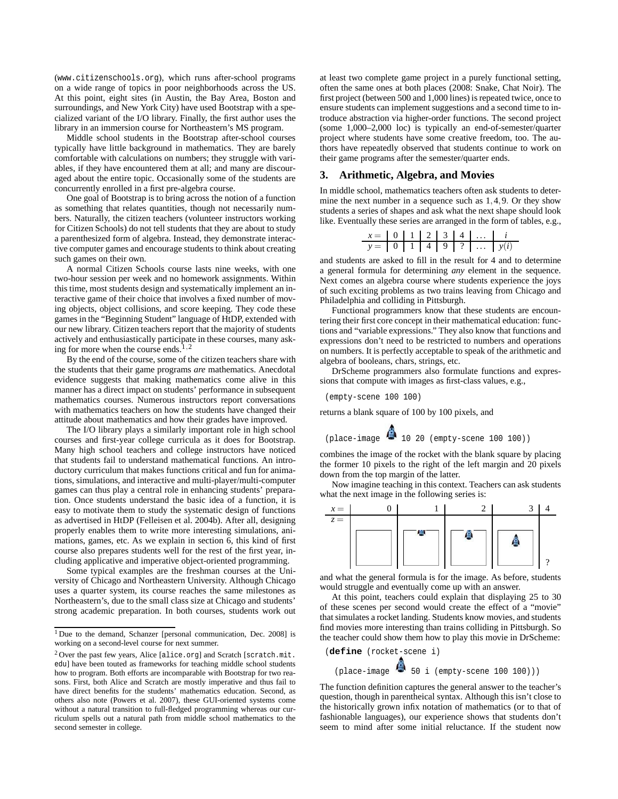(www.citizenschools.org), which runs after-school programs on a wide range of topics in poor neighborhoods across the US. At this point, eight sites (in Austin, the Bay Area, Boston and surroundings, and New York City) have used Bootstrap with a specialized variant of the I/O library. Finally, the first author uses the library in an immersion course for Northeastern's MS program.

Middle school students in the Bootstrap after-school courses typically have little background in mathematics. They are barely comfortable with calculations on numbers; they struggle with variables, if they have encountered them at all; and many are discouraged about the entire topic. Occasionally some of the students are concurrently enrolled in a first pre-algebra course.

One goal of Bootstrap is to bring across the notion of a function as something that relates quantities, though not necessarily numbers. Naturally, the citizen teachers (volunteer instructors working for Citizen Schools) do not tell students that they are about to study a parenthesized form of algebra. Instead, they demonstrate interactive computer games and encourage students to think about creating such games on their own.

A normal Citizen Schools course lasts nine weeks, with one two-hour session per week and no homework assignments. Within this time, most students design and systematically implement an interactive game of their choice that involves a fixed number of moving objects, object collisions, and score keeping. They code these games in the "Beginning Student" language of HtDP, extended with our new library. Citizen teachers report that the majority of students actively and enthusiastically participate in these courses, many asking for more when the course ends.<sup>1,2</sup>

By the end of the course, some of the citizen teachers share with the students that their game programs *are* mathematics. Anecdotal evidence suggests that making mathematics come alive in this manner has a direct impact on students' performance in subsequent mathematics courses. Numerous instructors report conversations with mathematics teachers on how the students have changed their attitude about mathematics and how their grades have improved.

The I/O library plays a similarly important role in high school courses and first-year college curricula as it does for Bootstrap. Many high school teachers and college instructors have noticed that students fail to understand mathematical functions. An introductory curriculum that makes functions critical and fun for animations, simulations, and interactive and multi-player/multi-computer games can thus play a central role in enhancing students' preparation. Once students understand the basic idea of a function, it is easy to motivate them to study the systematic design of functions as advertised in HtDP (Felleisen et al. 2004b). After all, designing properly enables them to write more interesting simulations, animations, games, etc. As we explain in section 6, this kind of first course also prepares students well for the rest of the first year, including applicative and imperative object-oriented programming.

Some typical examples are the freshman courses at the University of Chicago and Northeastern University. Although Chicago uses a quarter system, its course reaches the same milestones as Northeastern's, due to the small class size at Chicago and students' strong academic preparation. In both courses, students work out at least two complete game project in a purely functional setting, often the same ones at both places (2008: Snake, Chat Noir). The first project (between 500 and 1,000 lines) is repeated twice, once to ensure students can implement suggestions and a second time to introduce abstraction via higher-order functions. The second project (some 1,000–2,000 loc) is typically an end-of-semester/quarter project where students have some creative freedom, too. The authors have repeatedly observed that students continue to work on their game programs after the semester/quarter ends.

## **3. Arithmetic, Algebra, and Movies**

In middle school, mathematics teachers often ask students to determine the next number in a sequence such as 1,4,9. Or they show students a series of shapes and ask what the next shape should look like. Eventually these series are arranged in the form of tables, e.g.,

| $x =   0   1   2   3   4      i$                                     |  |  |  |  |
|----------------------------------------------------------------------|--|--|--|--|
| $y = \begin{bmatrix} 0 & 1 & 4 & 9 & ? & \dots & y(i) \end{bmatrix}$ |  |  |  |  |

and students are asked to fill in the result for 4 and to determine a general formula for determining *any* element in the sequence. Next comes an algebra course where students experience the joys of such exciting problems as two trains leaving from Chicago and Philadelphia and colliding in Pittsburgh.

Functional programmers know that these students are encountering their first core concept in their mathematical education: functions and "variable expressions." They also know that functions and expressions don't need to be restricted to numbers and operations on numbers. It is perfectly acceptable to speak of the arithmetic and algebra of booleans, chars, strings, etc.

DrScheme programmers also formulate functions and expressions that compute with images as first-class values, e.g.,

(empty-scene 100 100)

returns a blank square of 100 by 100 pixels, and

 $(place-image 10 20 (empty-score 100 100))$ 

combines the image of the rocket with the blank square by placing the former 10 pixels to the right of the left margin and 20 pixels down from the top margin of the latter.

Now imagine teaching in this context. Teachers can ask students what the next image in the following series is:



and what the general formula is for the image. As before, students would struggle and eventually come up with an answer.

At this point, teachers could explain that displaying 25 to 30 of these scenes per second would create the effect of a "movie" that simulates a rocket landing. Students know movies, and students find movies more interesting than trains colliding in Pittsburgh. So the teacher could show them how to play this movie in DrScheme:

(**define** (rocket-scene i) (place-image 50 i (empty-scene 100 100)))

The function definition captures the general answer to the teacher's question, though in parentheical syntax. Although this isn't close to the historically grown infix notation of mathematics (or to that of fashionable languages), our experience shows that students don't seem to mind after some initial reluctance. If the student now

<sup>&</sup>lt;sup>1</sup> Due to the demand, Schanzer [personal communication, Dec. 2008] is working on a second-level course for next summer.

 $^2$  Over the past few years, Alice [alice.org] and Scratch [scratch.mit. edu] have been touted as frameworks for teaching middle school students how to program. Both efforts are incomparable with Bootstrap for two reasons. First, both Alice and Scratch are mostly imperative and thus fail to have direct benefits for the students' mathematics education. Second, as others also note (Powers et al. 2007), these GUI-oriented systems come without a natural transition to full-fledged programming whereas our curriculum spells out a natural path from middle school mathematics to the second semester in college.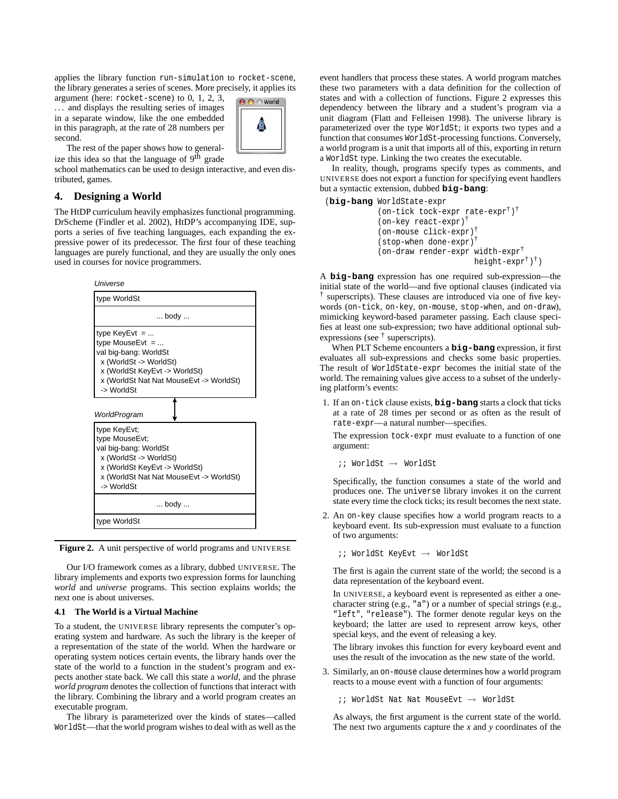applies the library function run-simulation to rocket-scene, the library generates a series of scenes. More precisely, it applies its

argument (here: rocket-scene) to 0, 1, 2, 3, ... and displays the resulting series of images in a separate window, like the one embedded in this paragraph, at the rate of 28 numbers per second.



The rest of the paper shows how to generalize this idea so that the language of  $9<sup>th</sup>$  grade

school mathematics can be used to design interactive, and even distributed, games.

# **4. Designing a World**

The HtDP curriculum heavily emphasizes functional programming. DrScheme (Findler et al. 2002), HtDP's accompanying IDE, supports a series of five teaching languages, each expanding the expressive power of its predecessor. The first four of these teaching languages are purely functional, and they are usually the only ones used in courses for novice programmers.





Our I/O framework comes as a library, dubbed UNIVERSE. The library implements and exports two expression forms for launching *world* and *universe* programs. This section explains worlds; the next one is about universes.

## **4.1 The World is a Virtual Machine**

To a student, the UNIVERSE library represents the computer's operating system and hardware. As such the library is the keeper of a representation of the state of the world. When the hardware or operating system notices certain events, the library hands over the state of the world to a function in the student's program and expects another state back. We call this state a *world*, and the phrase *world program* denotes the collection of functions that interact with the library. Combining the library and a world program creates an executable program.

The library is parameterized over the kinds of states—called WorldSt—that the world program wishes to deal with as well as the event handlers that process these states. A world program matches these two parameters with a data definition for the collection of states and with a collection of functions. Figure 2 expresses this dependency between the library and a student's program via a unit diagram (Flatt and Felleisen 1998). The universe library is parameterized over the type WorldSt; it exports two types and a function that consumes WorldSt-processing functions. Conversely, a world program is a unit that imports all of this, exporting in return a WorldSt type. Linking the two creates the executable.

In reality, though, programs specify types as comments, and UNIVERSE does not export a function for specifying event handlers but a syntactic extension, dubbed **big-bang**:

```
(big-bang WorldState-expr
           (on-tick tock-expr rate-expr†)
†
           (on-key react-expr)†
           (on-mouse click-expr)†
           (stop-when done-expr)†
           (on-draw render-expr width-expr†
                                 height-expr†)
†)
```
A **big-bang** expression has one required sub-expression—the initial state of the world—and five optional clauses (indicated via † superscripts). These clauses are introduced via one of five keywords (on-tick, on-key, on-mouse, stop-when, and on-draw), mimicking keyword-based parameter passing. Each clause specifies at least one sub-expression; two have additional optional subexpressions (see † superscripts).

When PLT Scheme encounters a **big-bang** expression, it first evaluates all sub-expressions and checks some basic properties. The result of WorldState-expr becomes the initial state of the world. The remaining values give access to a subset of the underlying platform's events:

1. If an on-tick clause exists, **big-bang** starts a clock that ticks at a rate of 28 times per second or as often as the result of rate-expr—a natural number—specifies.

The expression tock-expr must evaluate to a function of one argument:

;; WorldSt → WorldSt

Specifically, the function consumes a state of the world and produces one. The universe library invokes it on the current state every time the clock ticks; its result becomes the next state.

2. An on-key clause specifies how a world program reacts to a keyboard event. Its sub-expression must evaluate to a function of two arguments:

;; WorldSt KeyEvt → WorldSt

The first is again the current state of the world; the second is a data representation of the keyboard event.

In UNIVERSE, a keyboard event is represented as either a onecharacter string (e.g., "a") or a number of special strings (e.g., "left", "release"). The former denote regular keys on the keyboard; the latter are used to represent arrow keys, other special keys, and the event of releasing a key.

The library invokes this function for every keyboard event and uses the result of the invocation as the new state of the world.

3. Similarly, an on-mouse clause determines how a world program reacts to a mouse event with a function of four arguments:

 $i:$  WorldSt Nat Nat MouseEvt  $\rightarrow$  WorldSt

As always, the first argument is the current state of the world. The next two arguments capture the *x* and *y* coordinates of the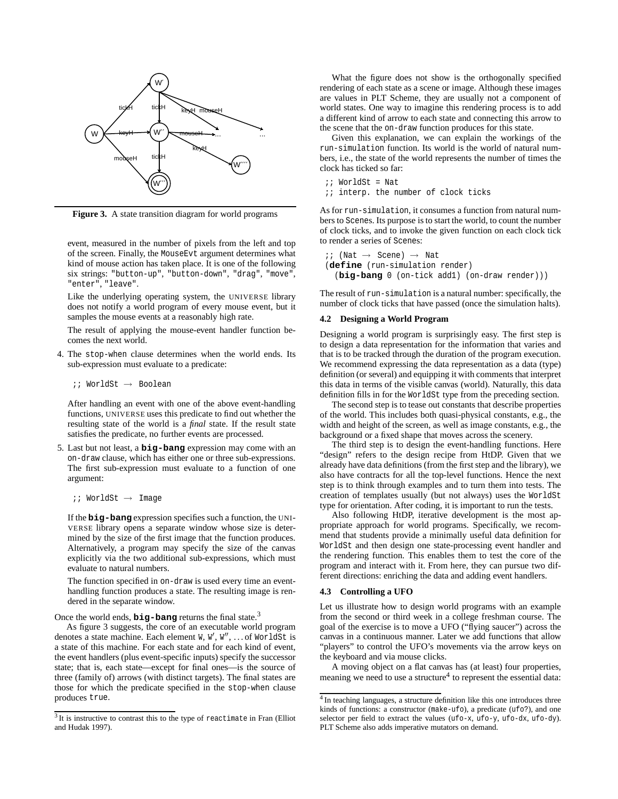

**Figure 3.** A state transition diagram for world programs

event, measured in the number of pixels from the left and top of the screen. Finally, the MouseEvt argument determines what kind of mouse action has taken place. It is one of the following six strings: "button-up", "button-down", "drag", "move", "enter", "leave".

Like the underlying operating system, the UNIVERSE library does not notify a world program of every mouse event, but it samples the mouse events at a reasonably high rate.

The result of applying the mouse-event handler function becomes the next world.

- 4. The stop-when clause determines when the world ends. Its sub-expression must evaluate to a predicate:
	- $i:$  WorldSt  $\rightarrow$  Boolean

After handling an event with one of the above event-handling functions, UNIVERSE uses this predicate to find out whether the resulting state of the world is a *final* state. If the result state satisfies the predicate, no further events are processed.

- 5. Last but not least, a **big-bang** expression may come with an on-draw clause, which has either one or three sub-expressions. The first sub-expression must evaluate to a function of one argument:
	- $i:$  WorldSt  $\rightarrow$  Image

If the **big-bang** expression specifies such a function, the UNI-VERSE library opens a separate window whose size is determined by the size of the first image that the function produces. Alternatively, a program may specify the size of the canvas explicitly via the two additional sub-expressions, which must evaluate to natural numbers.

The function specified in on-draw is used every time an eventhandling function produces a state. The resulting image is rendered in the separate window.

Once the world ends, **big-bang** returns the final state.<sup>3</sup>

As figure 3 suggests, the core of an executable world program denotes a state machine. Each element  $W, W', W'', \ldots$  of WorldSt is a state of this machine. For each state and for each kind of event, the event handlers (plus event-specific inputs) specify the successor state; that is, each state—except for final ones—is the source of three (family of) arrows (with distinct targets). The final states are those for which the predicate specified in the stop-when clause produces true.

What the figure does not show is the orthogonally specified rendering of each state as a scene or image. Although these images are values in PLT Scheme, they are usually not a component of world states. One way to imagine this rendering process is to add a different kind of arrow to each state and connecting this arrow to the scene that the on-draw function produces for this state.

Given this explanation, we can explain the workings of the run-simulation function. Its world is the world of natural numbers, i.e., the state of the world represents the number of times the clock has ticked so far:

```
;; WorldSt = Nat
```
;; interp. the number of clock ticks

As for run-simulation, it consumes a function from natural numbers to Scenes. Its purpose is to start the world, to count the number of clock ticks, and to invoke the given function on each clock tick to render a series of Scenes:

```
i: (Nat \rightarrow Scene) \rightarrow Nat
(define (run-simulation render)
  (big-bang 0 (on-tick add1) (on-draw render)))
```
The result of run-simulation is a natural number: specifically, the number of clock ticks that have passed (once the simulation halts).

### **4.2 Designing a World Program**

Designing a world program is surprisingly easy. The first step is to design a data representation for the information that varies and that is to be tracked through the duration of the program execution. We recommend expressing the data representation as a data (type) definition (or several) and equipping it with comments that interpret this data in terms of the visible canvas (world). Naturally, this data definition fills in for the WorldSt type from the preceding section.

The second step is to tease out constants that describe properties of the world. This includes both quasi-physical constants, e.g., the width and height of the screen, as well as image constants, e.g., the background or a fixed shape that moves across the scenery.

The third step is to design the event-handling functions. Here "design" refers to the design recipe from HtDP. Given that we already have data definitions (from the first step and the library), we also have contracts for all the top-level functions. Hence the next step is to think through examples and to turn them into tests. The creation of templates usually (but not always) uses the WorldSt type for orientation. After coding, it is important to run the tests.

Also following HtDP, iterative development is the most appropriate approach for world programs. Specifically, we recommend that students provide a minimally useful data definition for WorldSt and then design one state-processing event handler and the rendering function. This enables them to test the core of the program and interact with it. From here, they can pursue two different directions: enriching the data and adding event handlers.

#### **4.3 Controlling a UFO**

Let us illustrate how to design world programs with an example from the second or third week in a college freshman course. The goal of the exercise is to move a UFO ("flying saucer") across the canvas in a continuous manner. Later we add functions that allow "players" to control the UFO's movements via the arrow keys on the keyboard and via mouse clicks.

A moving object on a flat canvas has (at least) four properties, meaning we need to use a structure<sup>4</sup> to represent the essential data:

 $3$  It is instructive to contrast this to the type of reactimate in Fran (Elliot and Hudak 1997).

<sup>&</sup>lt;sup>4</sup> In teaching languages, a structure definition like this one introduces three kinds of functions: a constructor (make-ufo), a predicate (ufo?), and one selector per field to extract the values (ufo-x, ufo-y, ufo-dx, ufo-dy). PLT Scheme also adds imperative mutators on demand.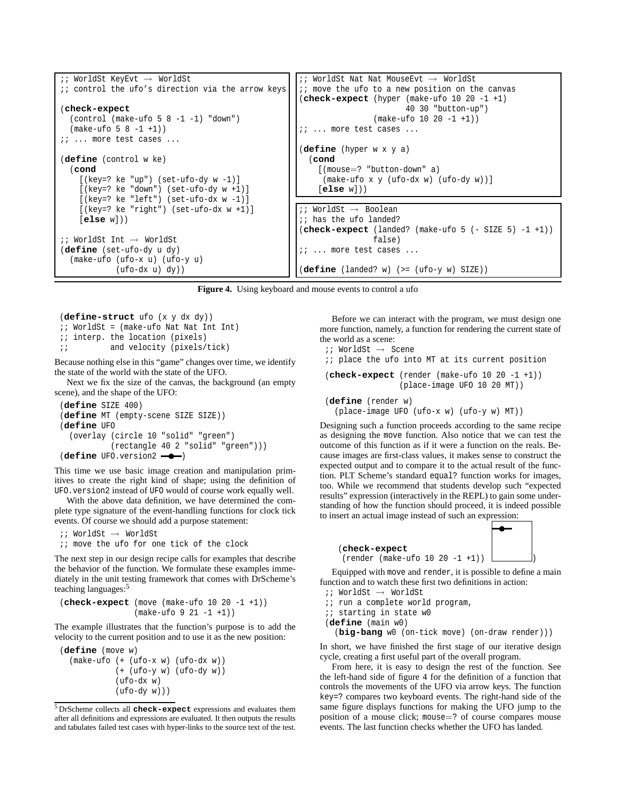```
;; WorldSt KeyEvt → WorldSt
i; control the ufo's direction via the arrow keys
(check-expect
  (control (make-ufo 5 8 -1 -1) "down")
  (make-ufo 5 8 -1 +1))
;; ... more test cases ...
(define (control w ke)
  (cond
    [(key=? ke "up") (set-ufo-dy w -1)]
    [(key=? ke "down") (set-ufo-dy w +1)]
    [(key=? ke "left") (set-ufo-dx w -1)]
    [(key=? ke "right") (set-ufo-dx w +1)]
    [else w]))
;; WorldSt Int → WorldSt
(define (set-ufo-dy u dy)
  (make-ufo (ufo-x u) (ufo-y u)
            (ufo-dx u) dy))
                                                     i: WorldSt Nat Nat MouseEvt \rightarrow WorldSt
                                                     \ldots move the ufo to a new position on the canvas
                                                     (check-expect (hyper (make-ufo 10 20 -1 +1)
                                                                             40 30 "button-up")
                                                                      (make-ufo 10 20 -1 +1))
                                                      ;; ... more test cases ...
                                                      (define (hyper w x y a)
                                                       (cond
                                                          [(mouse=? "button-down" a)
                                                           (make-ufo x y (ufo-dx w) (ufo-dy w))]
                                                          [else w]))
                                                     i: WorldSt \rightarrow Boolean
                                                     ;; has the ufo landed?
                                                     (check-expect (landed? (make-ufo 5 (- SIZE 5) -1 +1))
                                                                      false)
                                                      ;; ... more test cases ...
                                                      (define (landed? w) (>= (ufo-y w) SIZE))
```
**Figure 4.** Using keyboard and mouse events to control a ufo

```
(define-struct ufo (x y dx dy))
;; WorldSt = (make-ufo Nat Nat Int Int)
;; interp. the location (pixels)
;; and velocity (pixels/tick)
```
Because nothing else in this "game" changes over time, we identify the state of the world with the state of the UFO.

Next we fix the size of the canvas, the background (an empty scene), and the shape of the UFO:

```
(define SIZE 400)
(define MT (empty-scene SIZE SIZE))
(define UFO
  (overlay (circle 10 "solid" "green")
           (rectangle 40 2 "solid" "green")))
(define UFO.version2 –<sup>2</sup>)
```
This time we use basic image creation and manipulation primitives to create the right kind of shape; using the definition of UFO.version2 instead of UFO would of course work equally well.

With the above data definition, we have determined the complete type signature of the event-handling functions for clock tick events. Of course we should add a purpose statement:

```
;; WorldSt → WorldSt
```
;; move the ufo for one tick of the clock

The next step in our design recipe calls for examples that describe the behavior of the function. We formulate these examples immediately in the unit testing framework that comes with DrScheme's teaching languages:<sup>5</sup>

```
(check-expect (move (make-ufo 10 20 -1 +1))
               (make-ufo 9 21 -1 +1))
```
The example illustrates that the function's purpose is to add the velocity to the current position and to use it as the new position:

```
(define (move w)
  (make-ufo (+ (ufo-x w) (ufo-dx w))
            (+ (ufo-y w) (ufo-dy w))
            (ufo-dx w)
            (ufo-dy w))
```
<sup>5</sup> DrScheme collects all **check-expect** expressions and evaluates them after all definitions and expressions are evaluated. It then outputs the results and tabulates failed test cases with hyper-links to the source text of the test.

Before we can interact with the program, we must design one more function, namely, a function for rendering the current state of the world as a scene:

```
i: WorldSt \rightarrow Scene
i; place the ufo into MT at its current position
(check-expect (render (make-ufo 10 20 -1 +1))
                 (place-image UFO 10 20 MT))
```

```
(define (render w)
  (place-image UFO (ufo-x w) (ufo-y w) MT))
```
Designing such a function proceeds according to the same recipe as designing the move function. Also notice that we can test the outcome of this function as if it were a function on the reals. Because images are first-class values, it makes sense to construct the expected output and to compare it to the actual result of the function. PLT Scheme's standard equal? function works for images, too. While we recommend that students develop such "expected results" expression (interactively in the REPL) to gain some understanding of how the function should proceed, it is indeed possible to insert an actual image instead of such an expression:



Equipped with move and render, it is possible to define a main function and to watch these first two definitions in action:

```
i: WorldSt \rightarrow WorldSt
```
;; run a complete world program,

;; starting in state w0

(**define** (main w0)

(**big-bang** w0 (on-tick move) (on-draw render)))

In short, we have finished the first stage of our iterative design cycle, creating a first useful part of the overall program.

From here, it is easy to design the rest of the function. See the left-hand side of figure 4 for the definition of a function that controls the movements of the UFO via arrow keys. The function key=? compares two keyboard events. The right-hand side of the same figure displays functions for making the UFO jump to the position of a mouse click; mouse=? of course compares mouse events. The last function checks whether the UFO has landed.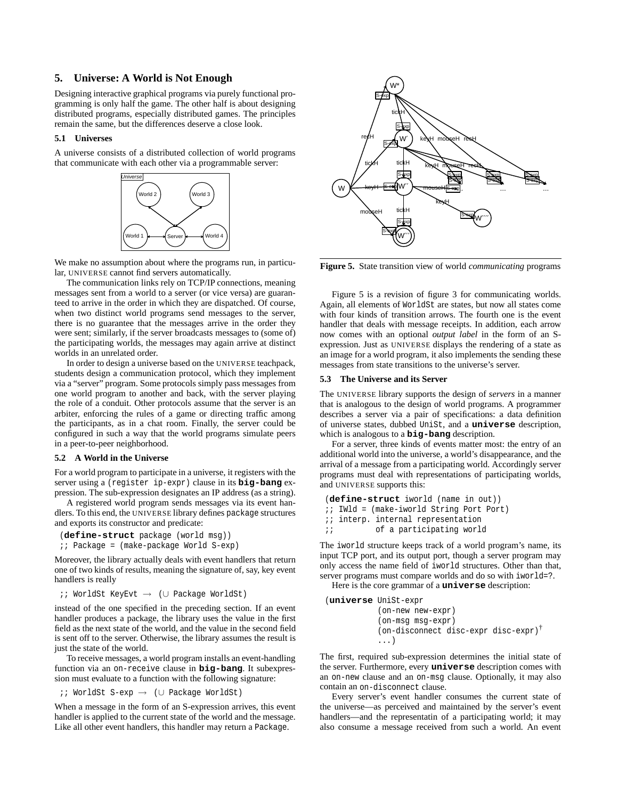# **5. Universe: A World is Not Enough**

Designing interactive graphical programs via purely functional programming is only half the game. The other half is about designing distributed programs, especially distributed games. The principles remain the same, but the differences deserve a close look.

## **5.1 Universes**

A universe consists of a distributed collection of world programs that communicate with each other via a programmable server:



We make no assumption about where the programs run, in particular, UNIVERSE cannot find servers automatically.

The communication links rely on TCP/IP connections, meaning messages sent from a world to a server (or vice versa) are guaranteed to arrive in the order in which they are dispatched. Of course, when two distinct world programs send messages to the server, there is no guarantee that the messages arrive in the order they were sent; similarly, if the server broadcasts messages to (some of) the participating worlds, the messages may again arrive at distinct worlds in an unrelated order.

In order to design a universe based on the UNIVERSE teachpack, students design a communication protocol, which they implement via a "server" program. Some protocols simply pass messages from one world program to another and back, with the server playing the role of a conduit. Other protocols assume that the server is an arbiter, enforcing the rules of a game or directing traffic among the participants, as in a chat room. Finally, the server could be configured in such a way that the world programs simulate peers in a peer-to-peer neighborhood.

### **5.2 A World in the Universe**

For a world program to participate in a universe, it registers with the server using a (register ip-expr) clause in its **big-bang** expression. The sub-expression designates an IP address (as a string).

A registered world program sends messages via its event handlers. To this end, the UNIVERSE library defines package structures and exports its constructor and predicate:

```
(define-struct package (world msg))
;; Package = (make-package World S-exp)
```
Moreover, the library actually deals with event handlers that return one of two kinds of results, meaning the signature of, say, key event handlers is really

;; WorldSt KeyEvt → (∪ Package WorldSt)

instead of the one specified in the preceding section. If an event handler produces a package, the library uses the value in the first field as the next state of the world, and the value in the second field is sent off to the server. Otherwise, the library assumes the result is just the state of the world.

To receive messages, a world program installs an event-handling function via an on-receive clause in **big-bang**. It subexpression must evaluate to a function with the following signature:

;; WorldSt S-exp → (∪ Package WorldSt)

When a message in the form of an S-expression arrives, this event handler is applied to the current state of the world and the message. Like all other event handlers, this handler may return a Package.



**Figure 5.** State transition view of world *communicating* programs

Figure 5 is a revision of figure 3 for communicating worlds. Again, all elements of WorldSt are states, but now all states come with four kinds of transition arrows. The fourth one is the event handler that deals with message receipts. In addition, each arrow now comes with an optional *output label* in the form of an Sexpression. Just as UNIVERSE displays the rendering of a state as an image for a world program, it also implements the sending these messages from state transitions to the universe's server.

## **5.3 The Universe and its Server**

The UNIVERSE library supports the design of *servers* in a manner that is analogous to the design of world programs. A programmer describes a server via a pair of specifications: a data definition of universe states, dubbed UniSt, and a **universe** description, which is analogous to a **big-bang** description.

For a server, three kinds of events matter most: the entry of an additional world into the universe, a world's disappearance, and the arrival of a message from a participating world. Accordingly server programs must deal with representations of participating worlds, and UNIVERSE supports this:

```
(define-struct iworld (name in out))
;; IWld = (make-iworld String Port Port)
;; interp. internal representation
;; of a participating world
```
The iworld structure keeps track of a world program's name, its input TCP port, and its output port, though a server program may only access the name field of iworld structures. Other than that, server programs must compare worlds and do so with iworld=?.

Here is the core grammar of a **universe** description:

```
(universe UniSt-expr
           (on-new new-expr)
```
(on-msg msg-expr) (on-disconnect disc-expr disc-expr)† ...)

The first, required sub-expression determines the initial state of the server. Furthermore, every **universe** description comes with an on-new clause and an on-msg clause. Optionally, it may also contain an on-disconnect clause.

Every server's event handler consumes the current state of the universe—as perceived and maintained by the server's event handlers—and the representatin of a participating world; it may also consume a message received from such a world. An event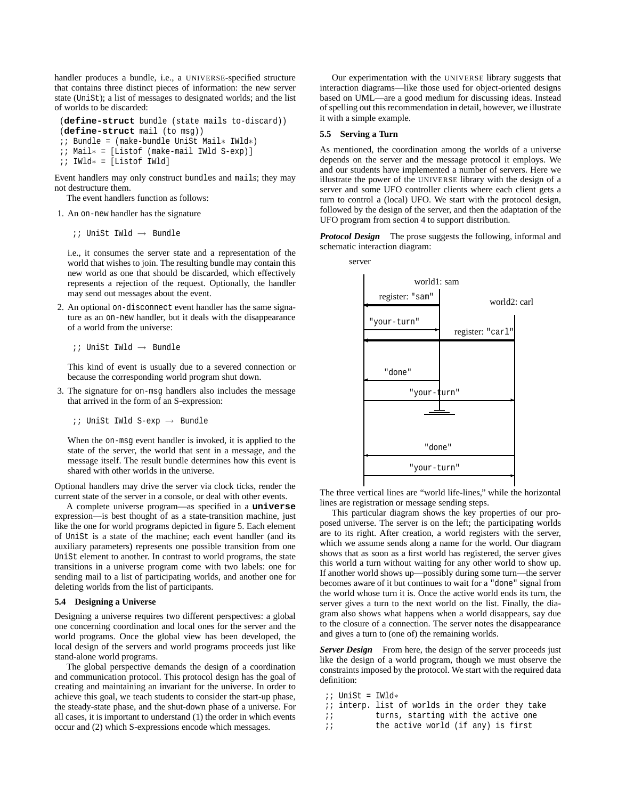handler produces a bundle, i.e., a UNIVERSE-specified structure that contains three distinct pieces of information: the new server state (UniSt); a list of messages to designated worlds; and the list of worlds to be discarded:

```
(define-struct bundle (state mails to-discard))
(define-struct mail (to msg))
;; Bundle = (make-bundle UniSt Mail∗ IWld∗)
;; Mail∗ = [Listof (make-mail IWld S-exp)]
;; IWld∗ = [Listof IWld]
```
Event handlers may only construct bundles and mails; they may not destructure them.

The event handlers function as follows:

1. An on-new handler has the signature

 $i:$  UniSt IWld  $\rightarrow$  Bundle

i.e., it consumes the server state and a representation of the world that wishes to join. The resulting bundle may contain this new world as one that should be discarded, which effectively represents a rejection of the request. Optionally, the handler may send out messages about the event.

2. An optional on-disconnect event handler has the same signature as an on-new handler, but it deals with the disappearance of a world from the universe:

```
i: UniSt IWld \rightarrow Bundle
```
This kind of event is usually due to a severed connection or because the corresponding world program shut down.

3. The signature for on-msg handlers also includes the message that arrived in the form of an S-expression:

 $i:$  UniSt IWld S-exp  $\rightarrow$  Bundle

When the on-msg event handler is invoked, it is applied to the state of the server, the world that sent in a message, and the message itself. The result bundle determines how this event is shared with other worlds in the universe.

Optional handlers may drive the server via clock ticks, render the current state of the server in a console, or deal with other events.

A complete universe program—as specified in a **universe** expression—is best thought of as a state-transition machine, just like the one for world programs depicted in figure 5. Each element of UniSt is a state of the machine; each event handler (and its auxiliary parameters) represents one possible transition from one UniSt element to another. In contrast to world programs, the state transitions in a universe program come with two labels: one for sending mail to a list of participating worlds, and another one for deleting worlds from the list of participants.

## **5.4 Designing a Universe**

Designing a universe requires two different perspectives: a global one concerning coordination and local ones for the server and the world programs. Once the global view has been developed, the local design of the servers and world programs proceeds just like stand-alone world programs.

The global perspective demands the design of a coordination and communication protocol. This protocol design has the goal of creating and maintaining an invariant for the universe. In order to achieve this goal, we teach students to consider the start-up phase, the steady-state phase, and the shut-down phase of a universe. For all cases, it is important to understand (1) the order in which events occur and (2) which S-expressions encode which messages.

Our experimentation with the UNIVERSE library suggests that interaction diagrams—like those used for object-oriented designs based on UML—are a good medium for discussing ideas. Instead of spelling out this recommendation in detail, however, we illustrate it with a simple example.

#### **5.5 Serving a Turn**

As mentioned, the coordination among the worlds of a universe depends on the server and the message protocol it employs. We and our students have implemented a number of servers. Here we illustrate the power of the UNIVERSE library with the design of a server and some UFO controller clients where each client gets a turn to control a (local) UFO. We start with the protocol design, followed by the design of the server, and then the adaptation of the UFO program from section 4 to support distribution.

*Protocol Design* The prose suggests the following, informal and schematic interaction diagram:



The three vertical lines are "world life-lines," while the horizontal lines are registration or message sending steps.

This particular diagram shows the key properties of our proposed universe. The server is on the left; the participating worlds are to its right. After creation, a world registers with the server, which we assume sends along a name for the world. Our diagram shows that as soon as a first world has registered, the server gives this world a turn without waiting for any other world to show up. If another world shows up—possibly during some turn—the server becomes aware of it but continues to wait for a "done" signal from the world whose turn it is. Once the active world ends its turn, the server gives a turn to the next world on the list. Finally, the diagram also shows what happens when a world disappears, say due to the closure of a connection. The server notes the disappearance and gives a turn to (one of) the remaining worlds.

**Server Design** From here, the design of the server proceeds just like the design of a world program, though we must observe the constraints imposed by the protocol. We start with the required data definition:

|           | $ii$ UniSt = IWld* |                                                  |
|-----------|--------------------|--------------------------------------------------|
|           |                    | :: interp. list of worlds in the order they take |
| $\cdot$ ; |                    | turns, starting with the active one              |
| $\cdot$ ; |                    | the active world (if any) is first               |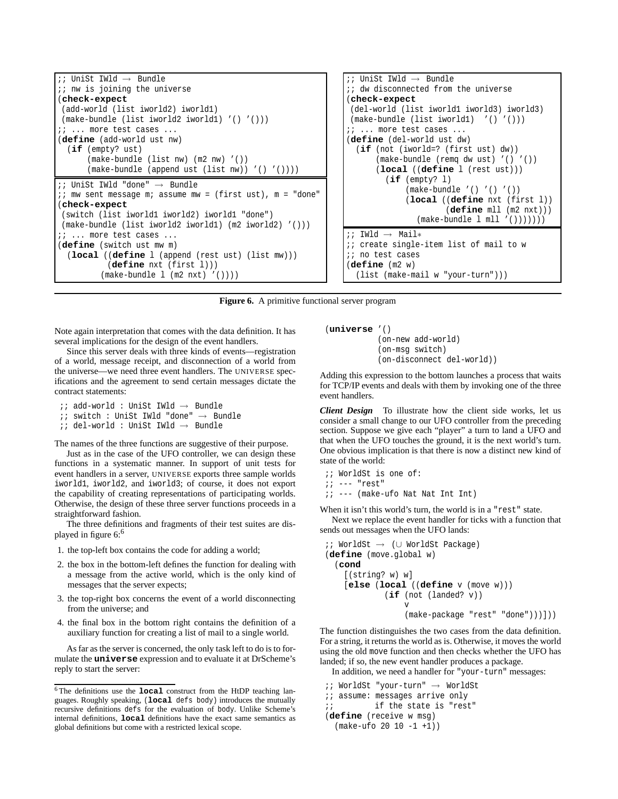



**Figure 6.** A primitive functional server program

Note again interpretation that comes with the data definition. It has several implications for the design of the event handlers.

Since this server deals with three kinds of events—registration of a world, message receipt, and disconnection of a world from the universe—we need three event handlers. The UNIVERSE specifications and the agreement to send certain messages dictate the contract statements:

```
i: add-world : UniSt IWld \rightarrow Bundle
```
- $i:$  switch : UniSt IWld "done"  $\rightarrow$  Bundle
- $i:$  del-world : UniSt IWld  $\rightarrow$  Bundle

The names of the three functions are suggestive of their purpose.

Just as in the case of the UFO controller, we can design these functions in a systematic manner. In support of unit tests for event handlers in a server, UNIVERSE exports three sample worlds iworld1, iworld2, and iworld3; of course, it does not export the capability of creating representations of participating worlds. Otherwise, the design of these three server functions proceeds in a straightforward fashion.

The three definitions and fragments of their test suites are displayed in figure  $6$ :<sup>6</sup>

- 1. the top-left box contains the code for adding a world;
- 2. the box in the bottom-left defines the function for dealing with a message from the active world, which is the only kind of messages that the server expects;
- 3. the top-right box concerns the event of a world disconnecting from the universe; and
- 4. the final box in the bottom right contains the definition of a auxiliary function for creating a list of mail to a single world.

As far as the server is concerned, the only task left to do is to formulate the **universe** expression and to evaluate it at DrScheme's reply to start the server:

(**universe** '()

```
(on-new add-world)
(on-msg switch)
(on-disconnect del-world))
```
Adding this expression to the bottom launches a process that waits for TCP/IP events and deals with them by invoking one of the three event handlers.

*Client Design* To illustrate how the client side works, let us consider a small change to our UFO controller from the preceding section. Suppose we give each "player" a turn to land a UFO and that when the UFO touches the ground, it is the next world's turn. One obvious implication is that there is now a distinct new kind of state of the world:

```
;; WorldSt is one of:
```

```
;; --- "rest"
```
;; --- (make-ufo Nat Nat Int Int)

When it isn't this world's turn, the world is in a "rest" state.

Next we replace the event handler for ticks with a function that sends out messages when the UFO lands:

```
;; WorldSt → (∪ WorldSt Package)
(define (move.global w)
  (cond
    [(string? w) w]
    [else (local ((define v (move w)))
            (if (not (landed? v))
                 v
                 (make-package "rest" "done")))]))
```
The function distinguishes the two cases from the data definition. For a string, it returns the world as is. Otherwise, it moves the world using the old move function and then checks whether the UFO has landed; if so, the new event handler produces a package.

In addition, we need a handler for "your-turn" messages:

```
;; WorldSt "your-turn" → WorldSt
;; assume: messages arrive only
```

```
;; if the state is "rest"
```

```
(define (receive w msg)
```

```
(make-ufo 20 10 -1 +1))
```
<sup>6</sup> The definitions use the **local** construct from the HtDP teaching languages. Roughly speaking, (**local** defs body) introduces the mutually recursive definitions defs for the evaluation of body. Unlike Scheme's internal definitions, **local** definitions have the exact same semantics as global definitions but come with a restricted lexical scope.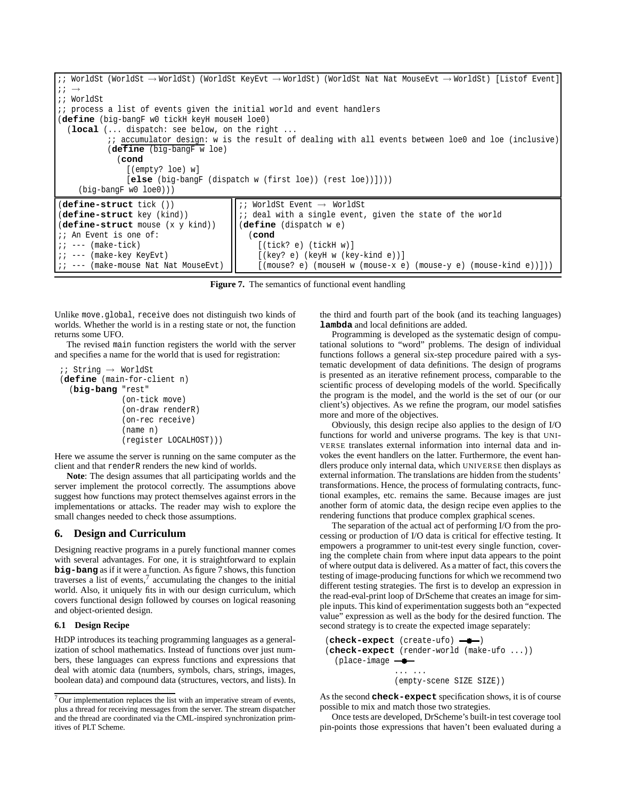```
;; WorldSt (WorldSt → WorldSt) (WorldSt KeyEvt → WorldSt) (WorldSt Nat Nat MouseEvt → WorldSt) [Listof Event]
\mathbf{i} ; \rightarrow;; WorldSt
;; process a list of events given the initial world and event handlers
(define (big-bangF w0 tickH keyH mouseH loe0)
  (local (... dispatch: see below, on the right ...
           ;; accumulator design: w is the result of dealing with all events between loe0 and loe (inclusive)
           (define (big-bangF w loe)
             (cond
               [(empty? loe) w]
               [else (big-bangF (dispatch w (first loe)) (rest loe))])))
    (big-bangF w0 loe0)))
(define-struct tick ())
(define-struct key (kind))
(define-struct mouse (x y kind))
;; An Event is one of:
j : --- (make-tick);; --- (make-key KeyEvt)
;; --- (make-mouse Nat Nat MouseEvt)
                                        i: WorldSt Event \rightarrow WorldSt
                                        i; deal with a single event, given the state of the world
                                        (define (dispatch w e)
                                           (cond
                                             [(tick? e) (tickH w)]
                                             [(key? e) (keyH w (key-kind e))]
                                             [(mouse? e) (mouseH w (mouse-x e) (mouse-y e) (mouse-kind e))]))
```
**Figure 7.** The semantics of functional event handling

Unlike move.global, receive does not distinguish two kinds of worlds. Whether the world is in a resting state or not, the function returns some UFO.

The revised main function registers the world with the server and specifies a name for the world that is used for registration:

```
i: String \rightarrow WorldSt
(define (main-for-client n)
  (big-bang "rest"
              (on-tick move)
              (on-draw renderR)
              (on-rec receive)
              (name n)
              (register LOCALHOST)))
```
Here we assume the server is running on the same computer as the client and that renderR renders the new kind of worlds.

**Note**: The design assumes that all participating worlds and the server implement the protocol correctly. The assumptions above suggest how functions may protect themselves against errors in the implementations or attacks. The reader may wish to explore the small changes needed to check those assumptions.

## **6. Design and Curriculum**

Designing reactive programs in a purely functional manner comes with several advantages. For one, it is straightforward to explain **big-bang** as if it were a function. As figure 7 shows, this function traverses a list of events, $7$  accumulating the changes to the initial world. Also, it uniquely fits in with our design curriculum, which covers functional design followed by courses on logical reasoning and object-oriented design.

## **6.1 Design Recipe**

HtDP introduces its teaching programming languages as a generalization of school mathematics. Instead of functions over just numbers, these languages can express functions and expressions that deal with atomic data (numbers, symbols, chars, strings, images, boolean data) and compound data (structures, vectors, and lists). In the third and fourth part of the book (and its teaching languages) **lambda** and local definitions are added.

Programming is developed as the systematic design of computational solutions to "word" problems. The design of individual functions follows a general six-step procedure paired with a systematic development of data definitions. The design of programs is presented as an iterative refinement process, comparable to the scientific process of developing models of the world. Specifically the program is the model, and the world is the set of our (or our client's) objectives. As we refine the program, our model satisfies more and more of the objectives.

Obviously, this design recipe also applies to the design of I/O functions for world and universe programs. The key is that UNI-VERSE translates external information into internal data and invokes the event handlers on the latter. Furthermore, the event handlers produce only internal data, which UNIVERSE then displays as external information. The translations are hidden from the students' transformations. Hence, the process of formulating contracts, functional examples, etc. remains the same. Because images are just another form of atomic data, the design recipe even applies to the rendering functions that produce complex graphical scenes.

The separation of the actual act of performing I/O from the processing or production of I/O data is critical for effective testing. It empowers a programmer to unit-test every single function, covering the complete chain from where input data appears to the point of where output data is delivered. As a matter of fact, this covers the testing of image-producing functions for which we recommend two different testing strategies. The first is to develop an expression in the read-eval-print loop of DrScheme that creates an image for simple inputs. This kind of experimentation suggests both an "expected value" expression as well as the body for the desired function. The second strategy is to create the expected image separately:

```
(check-expect (create-ufo) \rightarrow(check-expect (render-world (make-ufo ...))
  (place-image
               ... ...
               (empty-scene SIZE SIZE))
```
As the second **check-expect** specification shows, it is of course possible to mix and match those two strategies.

Once tests are developed, DrScheme's built-in test coverage tool pin-points those expressions that haven't been evaluated during a

 $7$  Our implementation replaces the list with an imperative stream of events, plus a thread for receiving messages from the server. The stream dispatcher and the thread are coordinated via the CML-inspired synchronization primitives of PLT Scheme.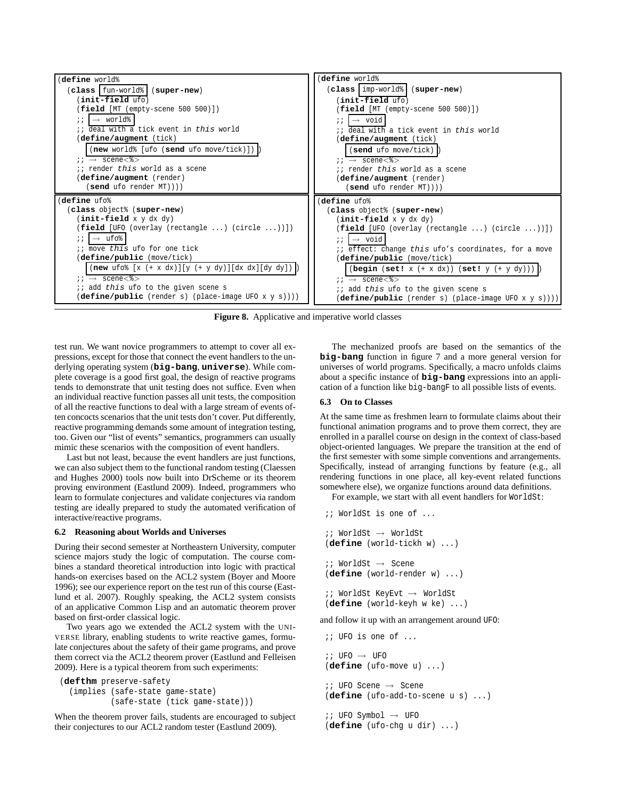

**Figure 8.** Applicative and imperative world classes

test run. We want novice programmers to attempt to cover all expressions, except for those that connect the event handlers to the underlying operating system (**big-bang**, **universe**). While complete coverage is a good first goal, the design of reactive programs tends to demonstrate that unit testing does not suffice. Even when an individual reactive function passes all unit tests, the composition of all the reactive functions to deal with a large stream of events often concocts scenarios that the unit tests don't cover. Put differently, reactive programming demands some amount of integration testing, too. Given our "list of events" semantics, programmers can usually mimic these scenarios with the composition of event handlers.

Last but not least, because the event handlers are just functions, we can also subject them to the functional random testing (Claessen and Hughes 2000) tools now built into DrScheme or its theorem proving environment (Eastlund 2009). Indeed, programmers who learn to formulate conjectures and validate conjectures via random testing are ideally prepared to study the automated verification of interactive/reactive programs.

### **6.2 Reasoning about Worlds and Universes**

During their second semester at Northeastern University, computer science majors study the logic of computation. The course combines a standard theoretical introduction into logic with practical hands-on exercises based on the ACL2 system (Boyer and Moore 1996); see our experience report on the test run of this course (Eastlund et al. 2007). Roughly speaking, the ACL2 system consists of an applicative Common Lisp and an automatic theorem prover based on first-order classical logic.

Two years ago we extended the ACL2 system with the UNI-VERSE library, enabling students to write reactive games, formulate conjectures about the safety of their game programs, and prove them correct via the ACL2 theorem prover (Eastlund and Felleisen 2009). Here is a typical theorem from such experiments:

```
(defthm preserve-safety
  (implies (safe-state game-state)
           (safe-state (tick game-state)))
```
When the theorem prover fails, students are encouraged to subject their conjectures to our ACL2 random tester (Eastlund 2009).

The mechanized proofs are based on the semantics of the **big-bang** function in figure 7 and a more general version for universes of world programs. Specifically, a macro unfolds claims about a specific instance of **big-bang** expressions into an application of a function like big-bangF to all possible lists of events.

## **6.3 On to Classes**

At the same time as freshmen learn to formulate claims about their functional animation programs and to prove them correct, they are enrolled in a parallel course on design in the context of class-based object-oriented languages. We prepare the transition at the end of the first semester with some simple conventions and arrangements. Specifically, instead of arranging functions by feature (e.g., all rendering functions in one place, all key-event related functions somewhere else), we organize functions around data definitions.

For example, we start with all event handlers for WorldSt:

```
;; WorldSt is one of ...
;; WorldSt → WorldSt
(define (world-tickh w) ...)
i: WorldSt \rightarrow Scene
(define (world-render w) ...)
;; WorldSt KeyEvt → WorldSt
(define (world-keyh w ke) ...)
```
and follow it up with an arrangement around UFO:

```
;; UFO is one of ...
i: UFO \rightarrow UFO
(define (ufo-move u) ...)
i: UFO Scene \rightarrow Scene
(define (ufo-add-to-scene u s) ...)
i: UFO Symbol \rightarrow UFO
(define (ufo-chg u dir) ...)
```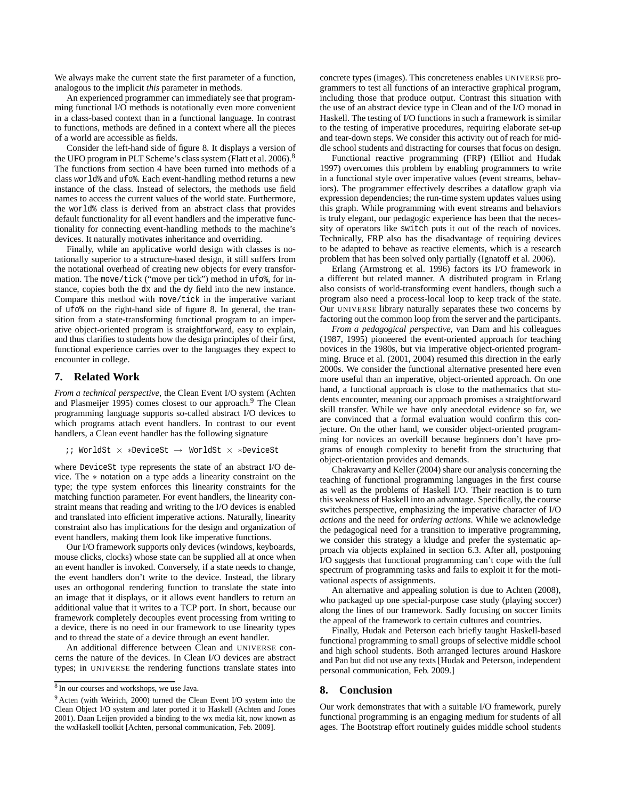We always make the current state the first parameter of a function, analogous to the implicit *this* parameter in methods.

An experienced programmer can immediately see that programming functional I/O methods is notationally even more convenient in a class-based context than in a functional language. In contrast to functions, methods are defined in a context where all the pieces of a world are accessible as fields.

Consider the left-hand side of figure 8. It displays a version of the UFO program in PLT Scheme's class system (Flatt et al. 2006).<sup>8</sup> The functions from section 4 have been turned into methods of a class world% and ufo%. Each event-handling method returns a new instance of the class. Instead of selectors, the methods use field names to access the current values of the world state. Furthermore, the world% class is derived from an abstract class that provides default functionality for all event handlers and the imperative functionality for connecting event-handling methods to the machine's devices. It naturally motivates inheritance and overriding.

Finally, while an applicative world design with classes is notationally superior to a structure-based design, it still suffers from the notational overhead of creating new objects for every transformation. The move/tick ("move per tick") method in ufo%, for instance, copies both the dx and the dy field into the new instance. Compare this method with move/tick in the imperative variant of ufo% on the right-hand side of figure 8. In general, the transition from a state-transforming functional program to an imperative object-oriented program is straightforward, easy to explain, and thus clarifies to students how the design principles of their first, functional experience carries over to the languages they expect to encounter in college.

## **7. Related Work**

*From a technical perspective*, the Clean Event I/O system (Achten and Plasmeijer 1995) comes closest to our approach.<sup>9</sup> The Clean programming language supports so-called abstract I/O devices to which programs attach event handlers. In contrast to our event handlers, a Clean event handler has the following signature

;; WorldSt × ∗DeviceSt → WorldSt × ∗DeviceSt

where DeviceSt type represents the state of an abstract I/O device. The ∗ notation on a type adds a linearity constraint on the type; the type system enforces this linearity constraints for the matching function parameter. For event handlers, the linearity constraint means that reading and writing to the I/O devices is enabled and translated into efficient imperative actions. Naturally, linearity constraint also has implications for the design and organization of event handlers, making them look like imperative functions.

Our I/O framework supports only devices (windows, keyboards, mouse clicks, clocks) whose state can be supplied all at once when an event handler is invoked. Conversely, if a state needs to change, the event handlers don't write to the device. Instead, the library uses an orthogonal rendering function to translate the state into an image that it displays, or it allows event handlers to return an additional value that it writes to a TCP port. In short, because our framework completely decouples event processing from writing to a device, there is no need in our framework to use linearity types and to thread the state of a device through an event handler.

An additional difference between Clean and UNIVERSE concerns the nature of the devices. In Clean I/O devices are abstract types; in UNIVERSE the rendering functions translate states into

concrete types (images). This concreteness enables UNIVERSE programmers to test all functions of an interactive graphical program, including those that produce output. Contrast this situation with the use of an abstract device type in Clean and of the I/O monad in Haskell. The testing of I/O functions in such a framework is similar to the testing of imperative procedures, requiring elaborate set-up and tear-down steps. We consider this activity out of reach for middle school students and distracting for courses that focus on design.

Functional reactive programming (FRP) (Elliot and Hudak 1997) overcomes this problem by enabling programmers to write in a functional style over imperative values (event streams, behaviors). The programmer effectively describes a dataflow graph via expression dependencies; the run-time system updates values using this graph. While programming with event streams and behaviors is truly elegant, our pedagogic experience has been that the necessity of operators like switch puts it out of the reach of novices. Technically, FRP also has the disadvantage of requiring devices to be adapted to behave as reactive elements, which is a research problem that has been solved only partially (Ignatoff et al. 2006).

Erlang (Armstrong et al. 1996) factors its I/O framework in a different but related manner. A distributed program in Erlang also consists of world-transforming event handlers, though such a program also need a process-local loop to keep track of the state. Our UNIVERSE library naturally separates these two concerns by factoring out the common loop from the server and the participants.

*From a pedagogical perspective*, van Dam and his colleagues (1987, 1995) pioneered the event-oriented approach for teaching novices in the 1980s, but via imperative object-oriented programming. Bruce et al. (2001, 2004) resumed this direction in the early 2000s. We consider the functional alternative presented here even more useful than an imperative, object-oriented approach. On one hand, a functional approach is close to the mathematics that students encounter, meaning our approach promises a straightforward skill transfer. While we have only anecdotal evidence so far, we are convinced that a formal evaluation would confirm this conjecture. On the other hand, we consider object-oriented programming for novices an overkill because beginners don't have programs of enough complexity to benefit from the structuring that object-orientation provides and demands.

Chakravarty and Keller (2004) share our analysis concerning the teaching of functional programming languages in the first course as well as the problems of Haskell I/O. Their reaction is to turn this weakness of Haskell into an advantage. Specifically, the course switches perspective, emphasizing the imperative character of I/O *actions* and the need for *ordering actions*. While we acknowledge the pedagogical need for a transition to imperative programming, we consider this strategy a kludge and prefer the systematic approach via objects explained in section 6.3. After all, postponing I/O suggests that functional programming can't cope with the full spectrum of programming tasks and fails to exploit it for the motivational aspects of assignments.

An alternative and appealing solution is due to Achten (2008), who packaged up one special-purpose case study (playing soccer) along the lines of our framework. Sadly focusing on soccer limits the appeal of the framework to certain cultures and countries.

Finally, Hudak and Peterson each briefly taught Haskell-based functional programming to small groups of selective middle school and high school students. Both arranged lectures around Haskore and Pan but did not use any texts [Hudak and Peterson, independent personal communication, Feb. 2009.]

## **8. Conclusion**

Our work demonstrates that with a suitable I/O framework, purely functional programming is an engaging medium for students of all ages. The Bootstrap effort routinely guides middle school students

<sup>&</sup>lt;sup>8</sup> In our courses and workshops, we use Java.

<sup>9</sup> Acten (with Weirich, 2000) turned the Clean Event I/O system into the Clean Object I/O system and later ported it to Haskell (Achten and Jones 2001). Daan Leijen provided a binding to the wx media kit, now known as the wxHaskell toolkit [Achten, personal communication, Feb. 2009].